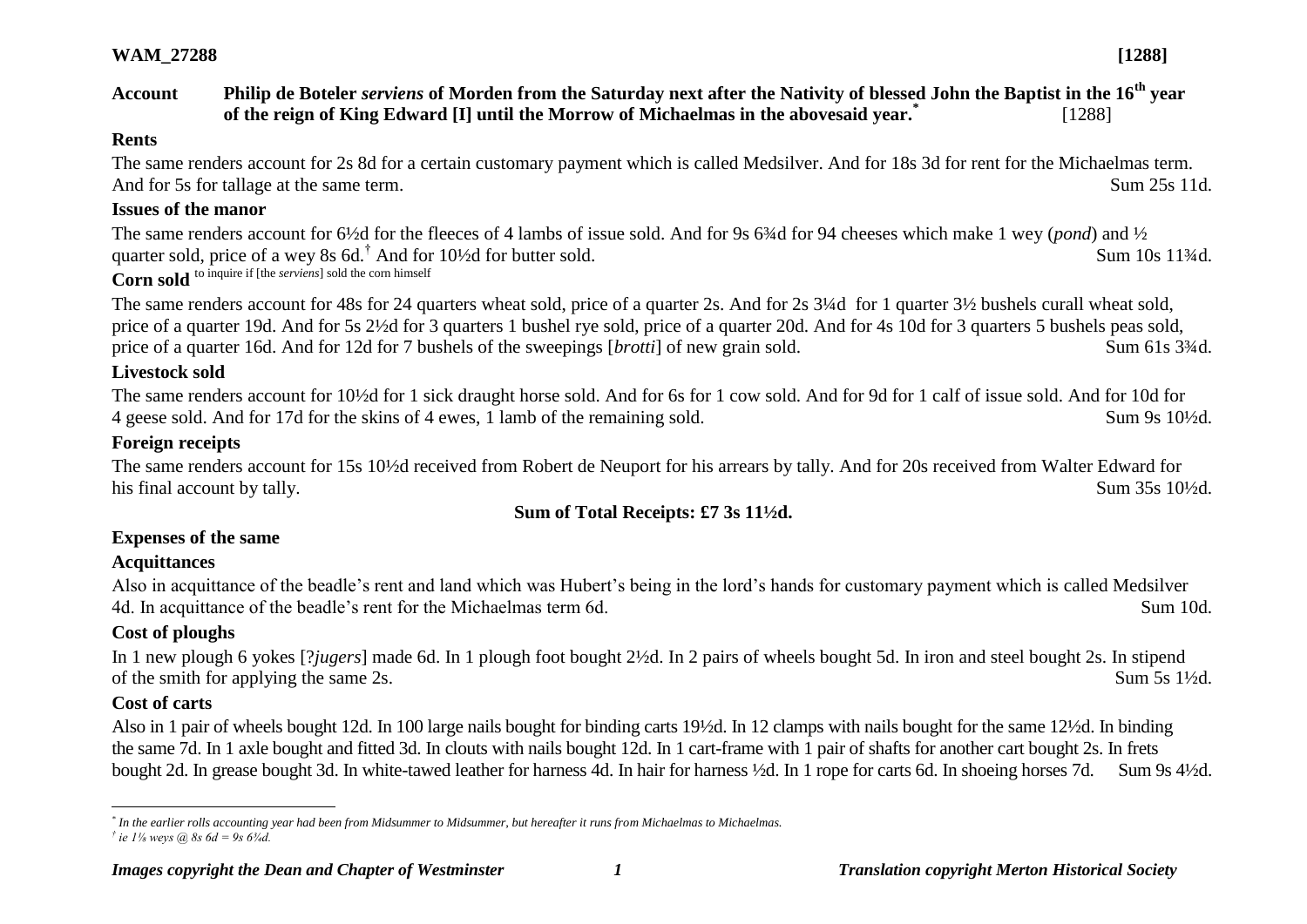#### **Account Philip de Boteler** *serviens* **of Morden from the Saturday next after the Nativity of blessed John the Baptist in the 16th year of the reign of King Edward [I] until the Morrow of Michaelmas in the abovesaid year.\*** [1288]

#### **Rents**

The same renders account for 2s 8d for a certain customary payment which is called Medsilver. And for 18s 3d for rent for the Michaelmas term. And for 5s for tallage at the same term. Sum 25s 11d.

#### **Issues of the manor**

The same renders account for 6½d for the fleeces of 4 lambs of issue sold. And for 9s 6¾d for 94 cheeses which make 1 wey (*pond*) and ½ quarter sold, price of a wey 8s 6d.<sup>†</sup> And for  $10\frac{1}{2}$  for butter sold. Sum 10s 11<sup>3</sup>/<sub>4d</sub>. **Corn sold** to inquire if [the *serviens*] sold the corn himself

The same renders account for 48s for 24 quarters wheat sold, price of a quarter 2s. And for 2s 3¼d for 1 quarter 3½ bushels curall wheat sold, price of a quarter 19d. And for 5s 2½d for 3 quarters 1 bushel rye sold, price of a quarter 20d. And for 4s 10d for 3 quarters 5 bushels peas sold, price of a quarter 16d. And for 12d for 7 bushels of the sweepings [*brotti*] of new grain sold. Sum 61s 3<sup>3</sup>/4d.

## **Livestock sold**

The same renders account for 10½d for 1 sick draught horse sold. And for 6s for 1 cow sold. And for 9d for 1 calf of issue sold. And for 10d for 4 geese sold. And for 17d for the skins of 4 ewes, 1 lamb of the remaining sold. Sum 9s 10½d.

## **Foreign receipts**

The same renders account for 15s 10½d received from Robert de Neuport for his arrears by tally. And for 20s received from Walter Edward for his final account by tally. Sum 35s 10<sup>1/2</sup>d.

## **Sum of Total Receipts: £7 3s 11½d.**

#### **Expenses of the same**

#### **Acquittances**

Also in acquittance of the beadle's rent and land which was Hubert's being in the lord's hands for customary payment which is called Medsilver 4d. In acquittance of the beadle's rent for the Michaelmas term 6d. Sum 10d.

## **Cost of ploughs**

In 1 new plough 6 yokes [?*jugers*] made 6d. In 1 plough foot bought 2½d. In 2 pairs of wheels bought 5d. In iron and steel bought 2s. In stipend of the smith for applying the same 2s.  $\text{Sum } 5s$  1<sup>1</sup>/<sub>2</sub>d.

## **Cost of carts**

Also in 1 pair of wheels bought 12d. In 100 large nails bought for binding carts 19½d. In 12 clamps with nails bought for the same 12½d. In binding the same 7d. In 1 axle bought and fitted 3d. In clouts with nails bought 12d. In 1 cart-frame with 1 pair of shafts for another cart bought 2s. In frets bought 2d. In grease bought 3d. In white-tawed leather for harness 4d. In hair for harness ½d. In 1 rope for carts 6d. In shoeing horses 7d. Sum 9s 4½d.

 $\overline{a}$ *\* In the earlier rolls accounting year had been from Midsummer to Midsummer, but hereafter it runs from Michaelmas to Michaelmas. † ie 1⅛ weys @ 8s 6d = 9s 6¾d.*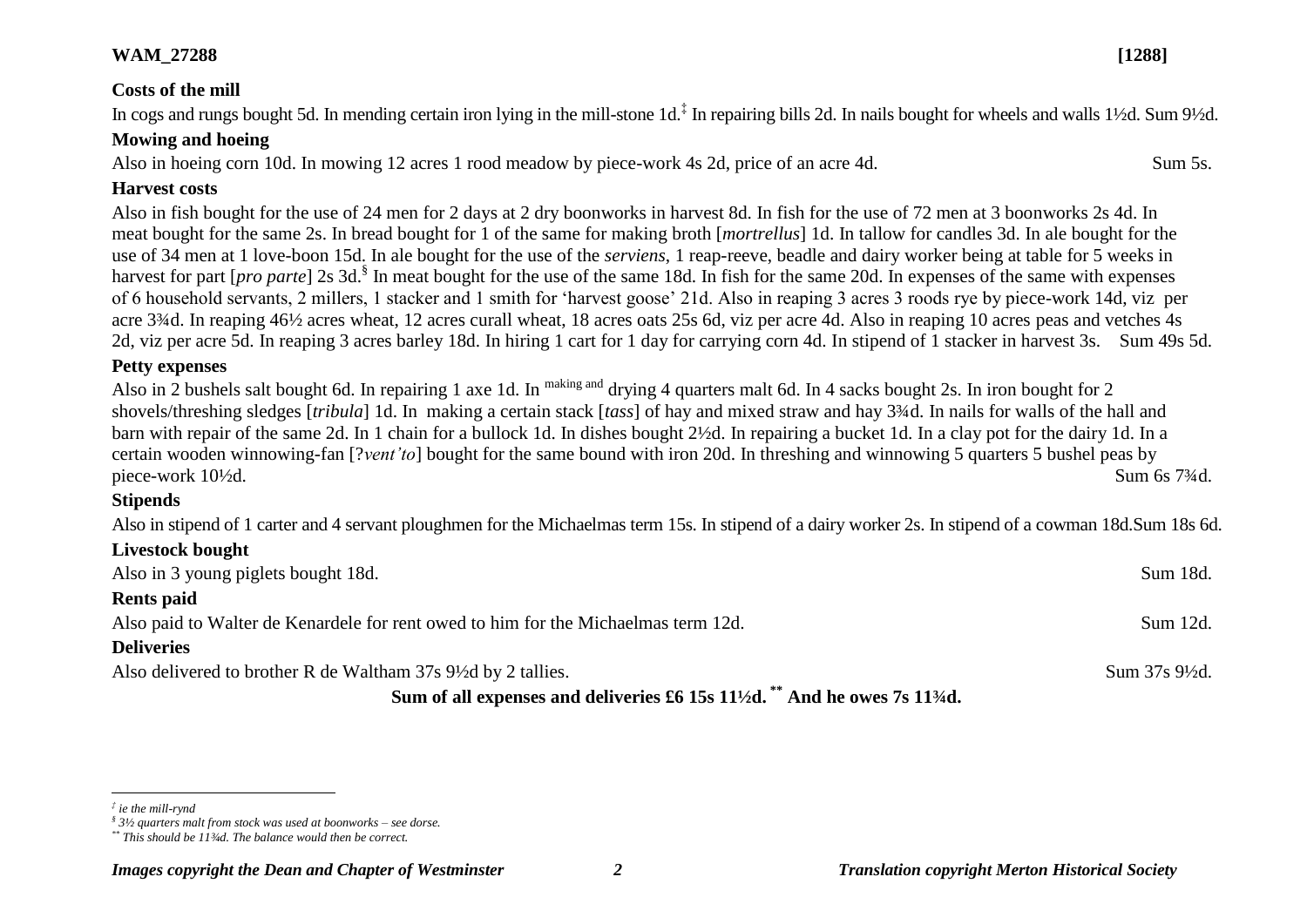#### **Costs of the mill**

In cogs and rungs bought 5d. In mending certain iron lying in the mill-stone 1d.<sup>‡</sup> In repairing bills 2d. In nails bought for wheels and walls 1½d. Sum 9½d.

#### **Mowing and hoeing**

Also in hoeing corn 10d. In mowing 12 acres 1 rood meadow by piece-work 4s 2d, price of an acre 4d. Sum 5s.

#### **Harvest costs**

Also in fish bought for the use of 24 men for 2 days at 2 dry boonworks in harvest 8d. In fish for the use of 72 men at 3 boonworks 2s 4d. In meat bought for the same 2s. In bread bought for 1 of the same for making broth [*mortrellus*] 1d. In tallow for candles 3d. In ale bought for the use of 34 men at 1 love-boon 15d. In ale bought for the use of the *serviens*, 1 reap-reeve, beadle and dairy worker being at table for 5 weeks in harvest for part [*pro parte*] 2s 3d.<sup>§</sup> In meat bought for the use of the same 18d. In fish for the same 20d. In expenses of the same with expenses of 6 household servants, 2 millers, 1 stacker and 1 smith for 'harvest goose' 21d. Also in reaping 3 acres 3 roods rye by piece-work 14d, viz per acre 3¾d. In reaping 46½ acres wheat, 12 acres curall wheat, 18 acres oats 25s 6d, viz per acre 4d. Also in reaping 10 acres peas and vetches 4s 2d, viz per acre 5d. In reaping 3 acres barley 18d. In hiring 1 cart for 1 day for carrying corn 4d. In stipend of 1 stacker in harvest 3s. Sum 49s 5d.

#### **Petty expenses**

Also in 2 bushels salt bought 6d. In repairing 1 axe 1d. In <sup>making and</sup> drying 4 quarters malt 6d. In 4 sacks bought 2s. In iron bought for 2 shovels/threshing sledges [*tribula*] 1d. In making a certain stack [*tass*] of hay and mixed straw and hay 3¾d. In nails for walls of the hall and barn with repair of the same 2d. In 1 chain for a bullock 1d. In dishes bought 2½d. In repairing a bucket 1d. In a clay pot for the dairy 1d. In a certain wooden winnowing-fan [?*vent'to*] bought for the same bound with iron 20d. In threshing and winnowing 5 quarters 5 bushel peas by piece-work 10½d. Sum 6s 7¾d.

#### **Stipends**

Also in stipend of 1 carter and 4 servant ploughmen for the Michaelmas term 15s. In stipend of a dairy worker 2s. In stipend of a cowman 18d.Sum 18s 6d.

#### **Livestock bought**

| Also in 3 young piglets bought 18d.                                                                  | Sum 18d.                   |
|------------------------------------------------------------------------------------------------------|----------------------------|
| <b>Rents paid</b>                                                                                    |                            |
| Also paid to Walter de Kenardele for rent owed to him for the Michaelmas term 12d.                   | Sum 12d.                   |
| <b>Deliveries</b>                                                                                    |                            |
| Also delivered to brother R de Waltham 37s 9½ d by 2 tallies.                                        | Sum $37s\,9\frac{1}{2}d$ . |
| $\beta$ and $\beta$ all expenses and delivering $\beta$ (15g 111/4) <sup>**</sup> And he expediately |                            |

**Sum of all expenses and deliveries £6 15s 11½d. \*\* And he owes 7s 11¾d.**

 $\overline{a}$ *‡ ie the mill-rynd*

*<sup>§</sup> 3½ quarters malt from stock was used at boonworks – see dorse.*

*<sup>\*\*</sup> This should be 11¾d. The balance would then be correct.*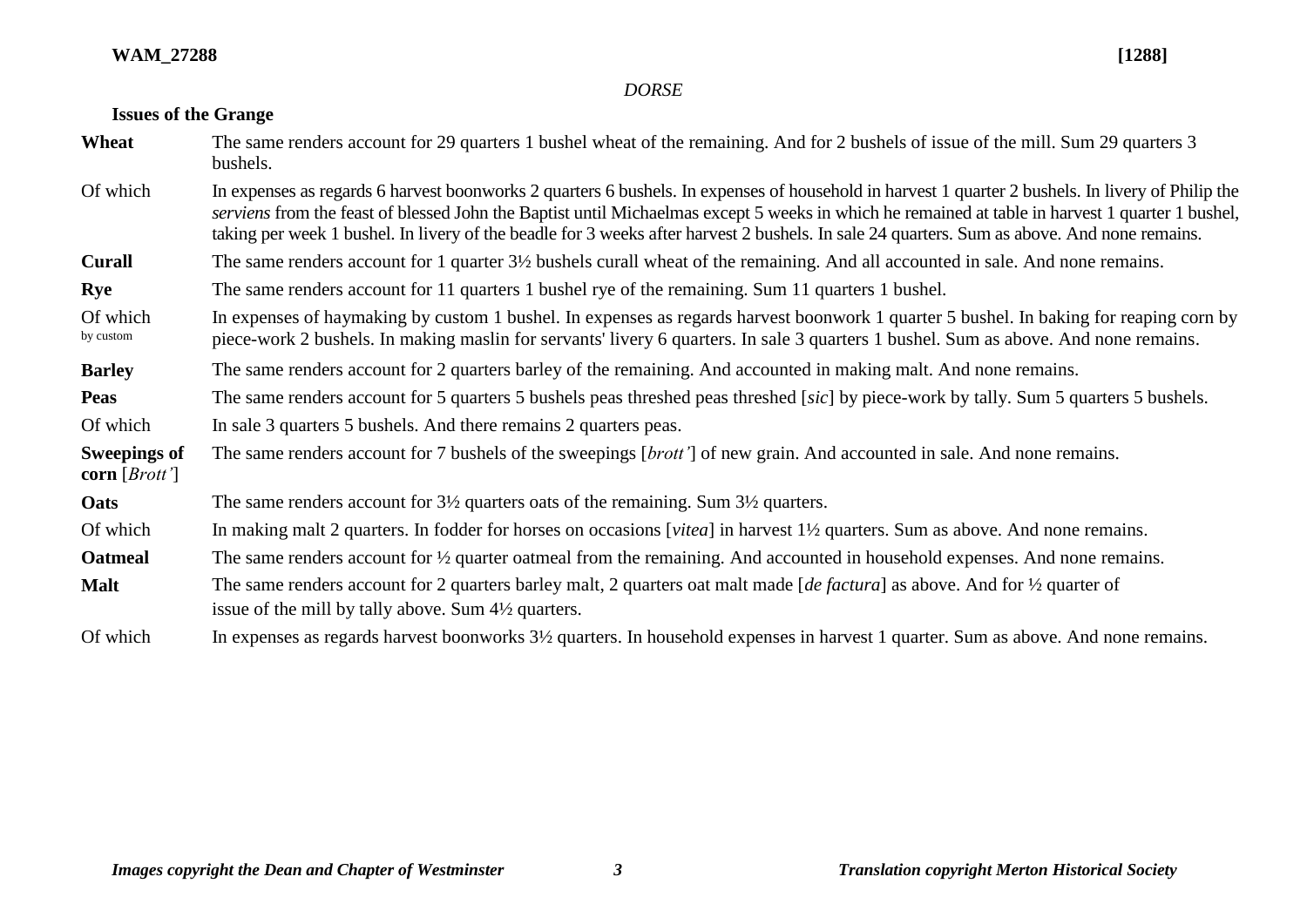## *DORSE*

# **Issues of the Grange**

| Wheat                                  | The same renders account for 29 quarters 1 bushel wheat of the remaining. And for 2 bushels of issue of the mill. Sum 29 quarters 3<br>bushels.                                                                                                                                                                                                                                                                                                      |  |
|----------------------------------------|------------------------------------------------------------------------------------------------------------------------------------------------------------------------------------------------------------------------------------------------------------------------------------------------------------------------------------------------------------------------------------------------------------------------------------------------------|--|
| Of which                               | In expenses as regards 6 harvest boonworks 2 quarters 6 bushels. In expenses of household in harvest 1 quarter 2 bushels. In livery of Philip the<br>serviens from the feast of blessed John the Baptist until Michaelmas except 5 weeks in which he remained at table in harvest 1 quarter 1 bushel,<br>taking per week 1 bushel. In livery of the beadle for 3 weeks after harvest 2 bushels. In sale 24 quarters. Sum as above. And none remains. |  |
| <b>Curall</b>                          | The same renders account for 1 quarter 3½ bushels curall wheat of the remaining. And all accounted in sale. And none remains.                                                                                                                                                                                                                                                                                                                        |  |
| <b>Rye</b>                             | The same renders account for 11 quarters 1 bushel rye of the remaining. Sum 11 quarters 1 bushel.                                                                                                                                                                                                                                                                                                                                                    |  |
| Of which<br>by custom                  | In expenses of haymaking by custom 1 bushel. In expenses as regards harvest boonwork 1 quarter 5 bushel. In baking for reaping corn by<br>piece-work 2 bushels. In making maslin for servants' livery 6 quarters. In sale 3 quarters 1 bushel. Sum as above. And none remains.                                                                                                                                                                       |  |
| <b>Barley</b>                          | The same renders account for 2 quarters barley of the remaining. And accounted in making malt. And none remains.                                                                                                                                                                                                                                                                                                                                     |  |
| <b>Peas</b>                            | The same renders account for 5 quarters 5 bushels peas threshed peas threshed [sic] by piece-work by tally. Sum 5 quarters 5 bushels.                                                                                                                                                                                                                                                                                                                |  |
| Of which                               | In sale 3 quarters 5 bushels. And there remains 2 quarters peas.                                                                                                                                                                                                                                                                                                                                                                                     |  |
| <b>Sweepings of</b><br>corn $[Brott']$ | The same renders account for 7 bushels of the sweepings [brott'] of new grain. And accounted in sale. And none remains.                                                                                                                                                                                                                                                                                                                              |  |
| Oats                                   | The same renders account for $3\frac{1}{2}$ quarters oats of the remaining. Sum $3\frac{1}{2}$ quarters.                                                                                                                                                                                                                                                                                                                                             |  |
| Of which                               | In making malt 2 quarters. In fodder for horses on occasions [vitea] in harvest 1½ quarters. Sum as above. And none remains.                                                                                                                                                                                                                                                                                                                         |  |
| <b>Oatmeal</b>                         | The same renders account for $\frac{1}{2}$ quarter oatmeal from the remaining. And accounted in household expenses. And none remains.                                                                                                                                                                                                                                                                                                                |  |
| <b>Malt</b>                            | The same renders account for 2 quarters barley malt, 2 quarters oat malt made [de factura] as above. And for $\frac{1}{2}$ quarter of<br>issue of the mill by tally above. Sum 4½ quarters.                                                                                                                                                                                                                                                          |  |
| Of which                               | In expenses as regards harvest boonworks $3\frac{1}{2}$ quarters. In household expenses in harvest 1 quarter. Sum as above. And none remains.                                                                                                                                                                                                                                                                                                        |  |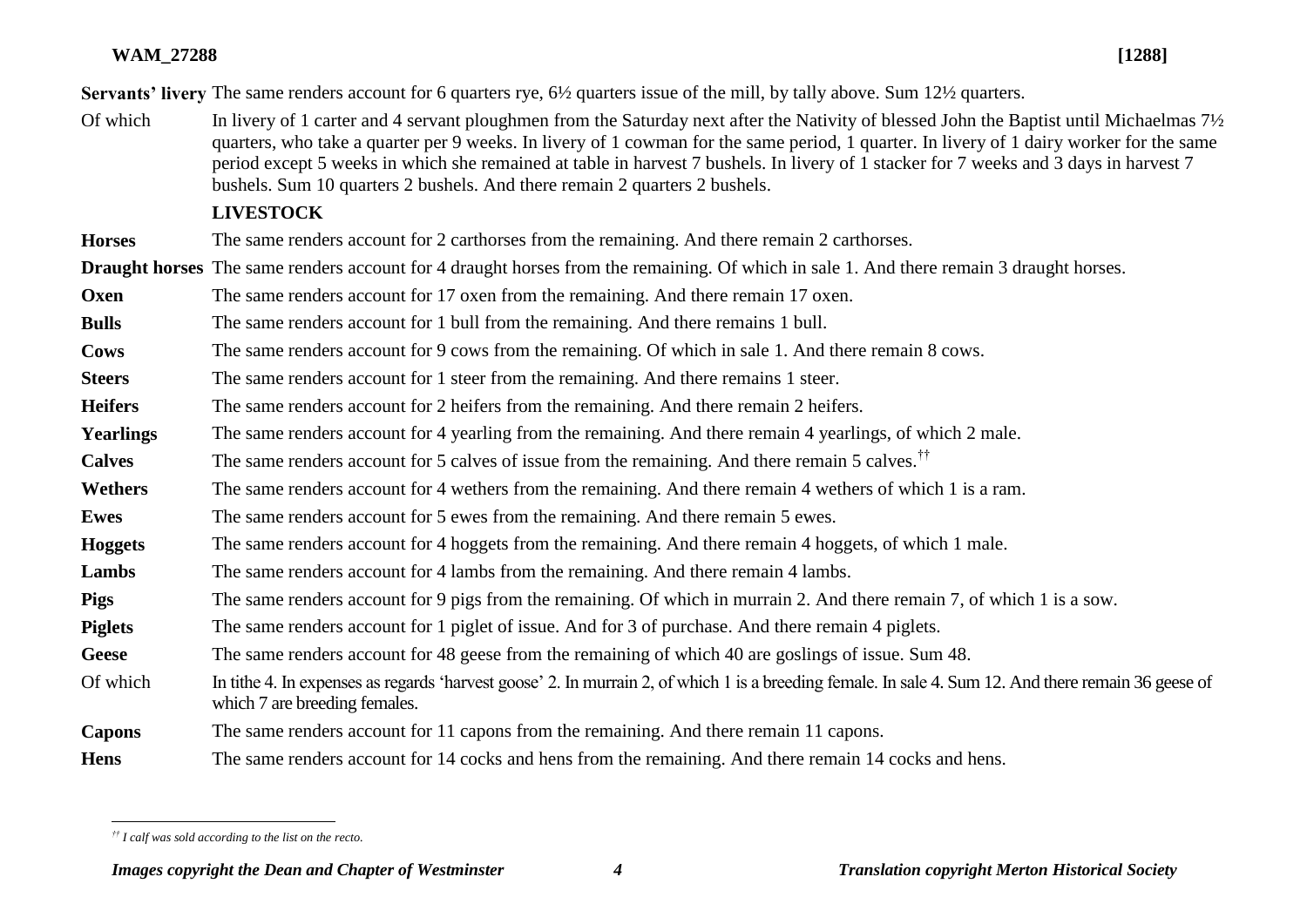**Servants' livery** The same renders account for 6 quarters rye, 6½ quarters issue of the mill, by tally above. Sum 12½ quarters.

Of which In livery of 1 carter and 4 servant ploughmen from the Saturday next after the Nativity of blessed John the Baptist until Michaelmas 7<sup>1</sup>/<sub>2</sub> quarters, who take a quarter per 9 weeks. In livery of 1 cowman for the same period, 1 quarter. In livery of 1 dairy worker for the same period except 5 weeks in which she remained at table in harvest 7 bushels. In livery of 1 stacker for 7 weeks and 3 days in harvest 7 bushels. Sum 10 quarters 2 bushels. And there remain 2 quarters 2 bushels.

## **LIVESTOCK**

**Horses** The same renders account for 2 carthorses from the remaining. And there remain 2 carthorses.

**Draught horses** The same renders account for 4 draught horses from the remaining. Of which in sale 1. And there remain 3 draught horses.

**Oxen** The same renders account for 17 oxen from the remaining. And there remain 17 oxen.

**Bulls** The same renders account for 1 bull from the remaining. And there remains 1 bull.

**Cows** The same renders account for 9 cows from the remaining. Of which in sale 1. And there remain 8 cows.

**Steers** The same renders account for 1 steer from the remaining. And there remains 1 steer.

**Heifers** The same renders account for 2 heifers from the remaining. And there remain 2 heifers.

**Yearlings** The same renders account for 4 yearling from the remaining. And there remain 4 yearlings, of which 2 male.

**Calves** The same renders account for 5 calves of issue from the remaining. And there remain 5 calves.<sup>††</sup>

**Wethers** The same renders account for 4 wethers from the remaining. And there remain 4 wethers of which 1 is a ram.

**Ewes** The same renders account for 5 ewes from the remaining. And there remain 5 ewes.

**Hoggets** The same renders account for 4 hoggets from the remaining. And there remain 4 hoggets, of which 1 male.

Lambs The same renders account for 4 lambs from the remaining. And there remain 4 lambs.

**Pigs** The same renders account for 9 pigs from the remaining. Of which in murrain 2. And there remain 7, of which 1 is a sow.

**Piglets** The same renders account for 1 piglet of issue. And for 3 of purchase. And there remain 4 piglets.

Geese The same renders account for 48 geese from the remaining of which 40 are goslings of issue. Sum 48.

Of which In tithe 4. In expenses as regards 'harvest goose' 2. In murrain 2, of which 1 is a breeding female. In sale 4. Sum 12. And there remain 36 geese of which 7 are breeding females.

**Capons** The same renders account for 11 capons from the remaining. And there remain 11 capons.

**Hens** The same renders account for 14 cocks and hens from the remaining. And there remain 14 cocks and hens.

 *†† I calf was sold according to the list on the recto.*